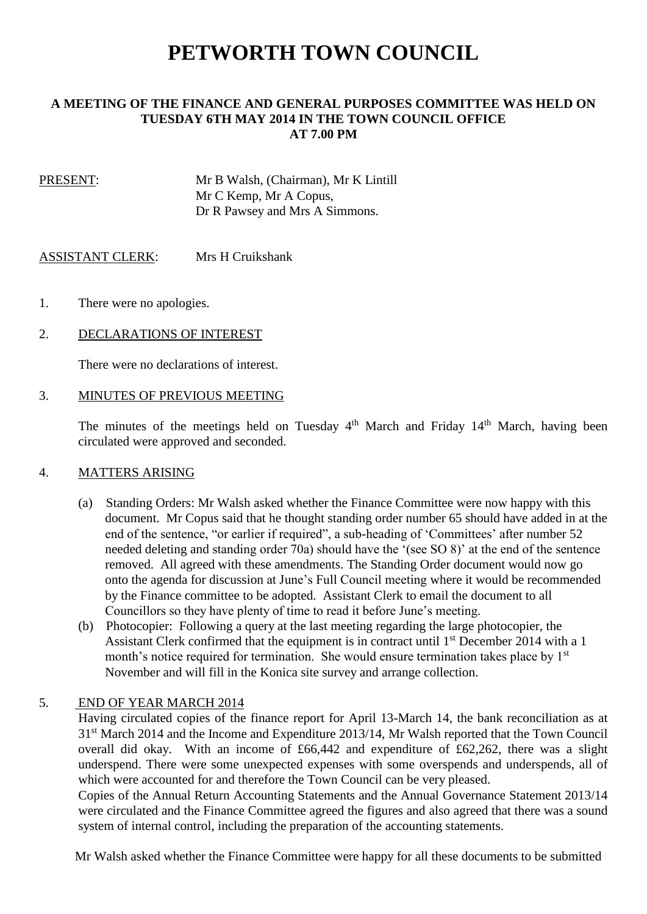# **PETWORTH TOWN COUNCIL**

## **A MEETING OF THE FINANCE AND GENERAL PURPOSES COMMITTEE WAS HELD ON TUESDAY 6TH MAY 2014 IN THE TOWN COUNCIL OFFICE AT 7.00 PM**

PRESENT: Mr B Walsh, (Chairman), Mr K Lintill Mr C Kemp, Mr A Copus, Dr R Pawsey and Mrs A Simmons.

ASSISTANT CLERK: Mrs H Cruikshank

- 1. There were no apologies.
- 2. DECLARATIONS OF INTEREST

There were no declarations of interest.

## 3. MINUTES OF PREVIOUS MEETING

The minutes of the meetings held on Tuesday  $4<sup>th</sup>$  March and Friday  $14<sup>th</sup>$  March, having been circulated were approved and seconded.

#### 4. MATTERS ARISING

- (a) Standing Orders: Mr Walsh asked whether the Finance Committee were now happy with this document. Mr Copus said that he thought standing order number 65 should have added in at the end of the sentence, "or earlier if required", a sub-heading of 'Committees' after number 52 needed deleting and standing order 70a) should have the '(see SO 8)' at the end of the sentence removed. All agreed with these amendments. The Standing Order document would now go onto the agenda for discussion at June's Full Council meeting where it would be recommended by the Finance committee to be adopted. Assistant Clerk to email the document to all Councillors so they have plenty of time to read it before June's meeting.
- (b) Photocopier: Following a query at the last meeting regarding the large photocopier, the Assistant Clerk confirmed that the equipment is in contract until 1<sup>st</sup> December 2014 with a 1 month's notice required for termination. She would ensure termination takes place by 1<sup>st</sup> November and will fill in the Konica site survey and arrange collection.

#### 5. END OF YEAR MARCH 2014

 Having circulated copies of the finance report for April 13-March 14, the bank reconciliation as at 31st March 2014 and the Income and Expenditure 2013/14, Mr Walsh reported that the Town Council overall did okay. With an income of £66,442 and expenditure of £62,262, there was a slight underspend. There were some unexpected expenses with some overspends and underspends, all of which were accounted for and therefore the Town Council can be very pleased.

 Copies of the Annual Return Accounting Statements and the Annual Governance Statement 2013/14 were circulated and the Finance Committee agreed the figures and also agreed that there was a sound system of internal control, including the preparation of the accounting statements.

Mr Walsh asked whether the Finance Committee were happy for all these documents to be submitted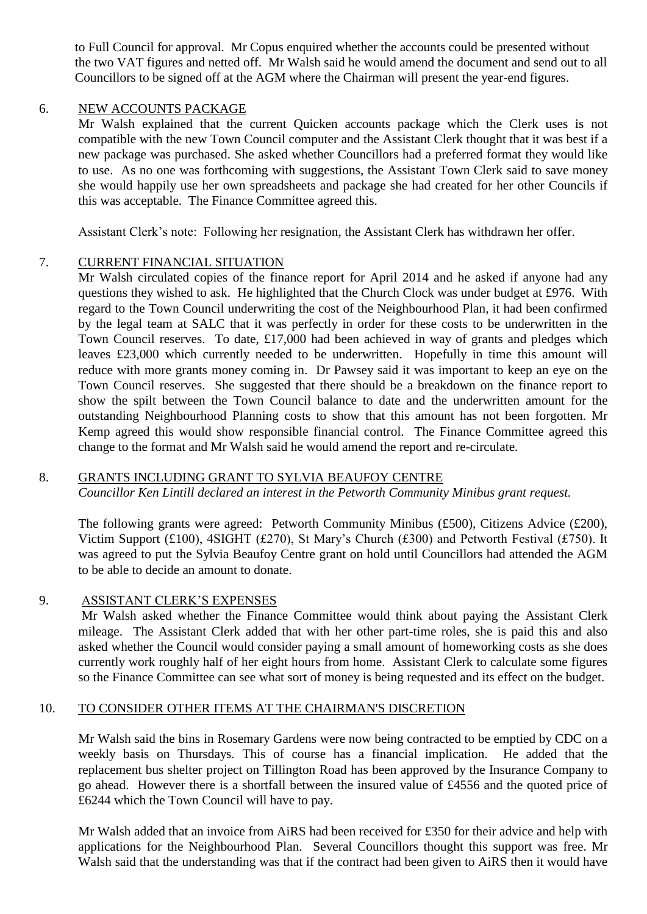to Full Council for approval. Mr Copus enquired whether the accounts could be presented without the two VAT figures and netted off. Mr Walsh said he would amend the document and send out to all Councillors to be signed off at the AGM where the Chairman will present the year-end figures.

## 6. NEW ACCOUNTS PACKAGE

 Mr Walsh explained that the current Quicken accounts package which the Clerk uses is not compatible with the new Town Council computer and the Assistant Clerk thought that it was best if a new package was purchased. She asked whether Councillors had a preferred format they would like to use. As no one was forthcoming with suggestions, the Assistant Town Clerk said to save money she would happily use her own spreadsheets and package she had created for her other Councils if this was acceptable. The Finance Committee agreed this.

Assistant Clerk's note: Following her resignation, the Assistant Clerk has withdrawn her offer.

# 7. CURRENT FINANCIAL SITUATION

 Mr Walsh circulated copies of the finance report for April 2014 and he asked if anyone had any questions they wished to ask. He highlighted that the Church Clock was under budget at £976. With regard to the Town Council underwriting the cost of the Neighbourhood Plan, it had been confirmed by the legal team at SALC that it was perfectly in order for these costs to be underwritten in the Town Council reserves. To date, £17,000 had been achieved in way of grants and pledges which leaves £23,000 which currently needed to be underwritten. Hopefully in time this amount will reduce with more grants money coming in. Dr Pawsey said it was important to keep an eye on the Town Council reserves. She suggested that there should be a breakdown on the finance report to show the spilt between the Town Council balance to date and the underwritten amount for the outstanding Neighbourhood Planning costs to show that this amount has not been forgotten. Mr Kemp agreed this would show responsible financial control. The Finance Committee agreed this change to the format and Mr Walsh said he would amend the report and re-circulate.

# 8. GRANTS INCLUDING GRANT TO SYLVIA BEAUFOY CENTRE

*Councillor Ken Lintill declared an interest in the Petworth Community Minibus grant request.*

 The following grants were agreed: Petworth Community Minibus (£500), Citizens Advice (£200), Victim Support (£100), 4SIGHT (£270), St Mary's Church (£300) and Petworth Festival (£750). It was agreed to put the Sylvia Beaufoy Centre grant on hold until Councillors had attended the AGM to be able to decide an amount to donate.

#### 9. ASSISTANT CLERK'S EXPENSES

 Mr Walsh asked whether the Finance Committee would think about paying the Assistant Clerk mileage. The Assistant Clerk added that with her other part-time roles, she is paid this and also asked whether the Council would consider paying a small amount of homeworking costs as she does currently work roughly half of her eight hours from home. Assistant Clerk to calculate some figures so the Finance Committee can see what sort of money is being requested and its effect on the budget.

# 10. TO CONSIDER OTHER ITEMS AT THE CHAIRMAN'S DISCRETION

 Mr Walsh said the bins in Rosemary Gardens were now being contracted to be emptied by CDC on a weekly basis on Thursdays. This of course has a financial implication. He added that the replacement bus shelter project on Tillington Road has been approved by the Insurance Company to go ahead. However there is a shortfall between the insured value of £4556 and the quoted price of £6244 which the Town Council will have to pay.

 Mr Walsh added that an invoice from AiRS had been received for £350 for their advice and help with applications for the Neighbourhood Plan. Several Councillors thought this support was free. Mr Walsh said that the understanding was that if the contract had been given to AiRS then it would have